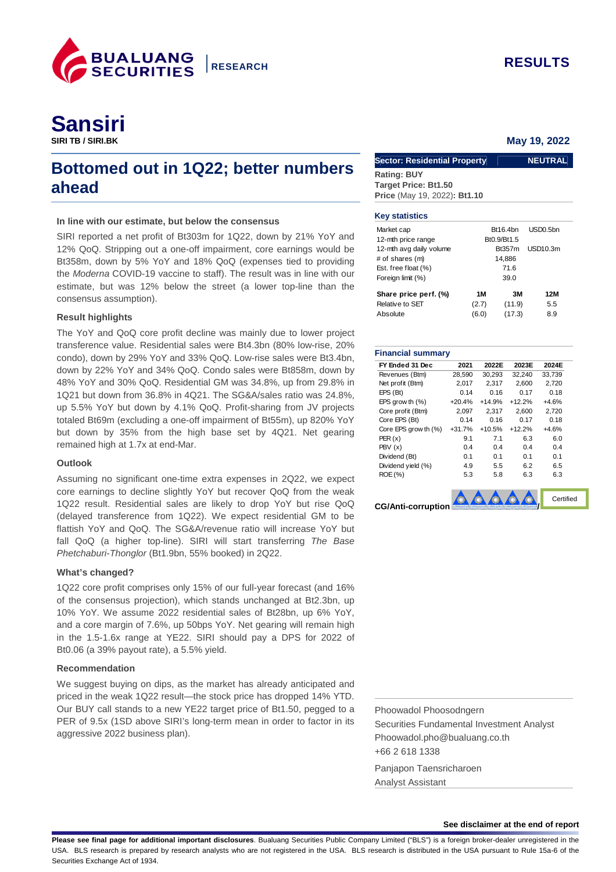

# **Bottomed out in 1Q22; better numbers ahead**

# **In line with our estimate, but below the consensus**

SIRI reported a net profit of Bt303m for 1Q22, down by 21% YoY and 12% QoQ. Stripping out a one-off impairment, core earnings would be Bt358m, down by 5% YoY and 18% QoQ (expenses tied to providing the Moderna COVID-19 vaccine to staff). The result was in line with our estimate, but was 12% below the street (a lower top-line than the consensus assumption).

### **Result highlights**

The YoY and QoQ core profit decline was mainly due to lower project transference value. Residential sales were Bt4.3bn (80% low-rise, 20% condo), down by 29% YoY and 33% QoQ. Low-rise sales were Bt3.4bn, down by 22% YoY and 34% QoQ. Condo sales were Bt858m, down by 48% YoY and 30% QoQ. Residential GM was 34.8%, up from 29.8% in 1Q21 but down from 36.8% in 4Q21. The SG&A/sales ratio was 24.8%, up 5.5% YoY but down by 4.1% QoQ. Profit-sharing from JV projects totaled Bt69m (excluding a one-off impairment of Bt55m), up 820% YoY but down by 35% from the high base set by 4Q21. Net gearing remained high at 1.7x at end-Mar.

#### **Outlook**

Assuming no significant one-time extra expenses in 2Q22, we expect core earnings to decline slightly YoY but recover QoQ from the weak 1Q22 result. Residential sales are likely to drop YoY but rise QoQ (delayed transference from 1Q22). We expect residential GM to be flattish YoY and QoQ. The SG&A/revenue ratio will increase YoY but fall QoQ (a higher top-line). SIRI will start transferring The Base Phetchaburi-Thonglor (Bt1.9bn, 55% booked) in 2Q22.

## **What's changed?**

1Q22 core profit comprises only 15% of our full-year forecast (and 16% of the consensus projection), which stands unchanged at Bt2.3bn, up 10% YoY. We assume 2022 residential sales of Bt28bn, up 6% YoY, and a core margin of 7.6%, up 50bps YoY. Net gearing will remain high in the 1.5-1.6x range at YE22. SIRI should pay a DPS for 2022 of Bt0.06 (a 39% payout rate), a 5.5% yield.

## **Recommendation**

We suggest buying on dips, as the market has already anticipated and priced in the weak 1Q22 result—the stock price has dropped 14% YTD. Our BUY call stands to a new YE22 target price of Bt1.50, pegged to a PER of 9.5x (1SD above SIRI's long-term mean in order to factor in its aggressive 2022 business plan).

# **May 19, 2022**

| <b>Sector: Residential Property</b> | <b>NEUTRAL</b> |
|-------------------------------------|----------------|
| <b>Rating: BUY</b>                  |                |
| <b>Target Price: Bt1.50</b>         |                |
| Price (May 19, 2022): Bt1.10        |                |

#### **Key statistics**

| Market cap              |       | Bt16.4bn      | USD <sub>0.5bn</sub> |  |  |  |
|-------------------------|-------|---------------|----------------------|--|--|--|
| 12-mth price range      |       | Bt0.9/Bt1.5   |                      |  |  |  |
| 12-mth avg daily volume |       | <b>Bt357m</b> | USD10.3m             |  |  |  |
| # of shares (m)         |       | 14,886        |                      |  |  |  |
| Est. free float (%)     | 71.6  |               |                      |  |  |  |
| Foreign limit (%)       |       | 39.0          |                      |  |  |  |
| Share price perf. (%)   | 1M    | 3M            | 12M                  |  |  |  |
| Relative to SET         | (2.7) | (11.9)        | 5.5                  |  |  |  |
| Absolute                | (6.0) | (17.3)        | 8.9                  |  |  |  |

#### **Financial summary**

| FY Ended 31 Dec           | 2021     | 2022E    | 2023E    | 2024E     |
|---------------------------|----------|----------|----------|-----------|
| Revenues (Btm)            | 28,590   | 30,293   | 32,240   | 33,739    |
| Net profit (Btm)          | 2,017    | 2,317    | 2,600    | 2,720     |
| EPS (Bt)                  | 0.14     | 0.16     | 0.17     | 0.18      |
| EPS grow th $(\% )$       | $+20.4%$ | $+14.9%$ | $+12.2%$ | $+4.6%$   |
| Core profit (Btm)         | 2.097    | 2.317    | 2.600    | 2.720     |
| Core EPS (Bt)             | 0.14     | 0.16     | 0.17     | 0.18      |
| Core EPS grow th (%)      | $+31.7%$ | $+10.5%$ | $+12.2%$ | $+4.6%$   |
| PER(x)                    | 9.1      | 7.1      | 6.3      | 6.0       |
| PBV(x)                    | 0.4      | 0.4      | 0.4      | 0.4       |
| Dividend (Bt)             | 0.1      | 0.1      | 0.1      | 0.1       |
| Dividend yield (%)        | 4.9      | 5.5      | 6.2      | 6.5       |
| ROE (%)                   | 5.3      | 5.8      | 6.3      | 6.3       |
| <b>CG/Anti-corruption</b> |          |          |          | Certified |
|                           |          |          |          |           |

Phoowadol Phoosodngern Securities Fundamental Investment Analyst Phoowadol.pho@bualuang.co.th +66 2 618 1338

Panjapon Taensricharoen Analyst Assistant

#### **See disclaimer at the end of report**

Please see final page for additional important disclosures. Bualuang Securities Public Company Limited ("BLS") is a foreign broker-dealer unregistered in the USA. BLS research is prepared by research analysts who are not registered in the USA. BLS research is distributed in the USA pursuant to Rule 15a-6 of the Securities Exchange Act of 1934.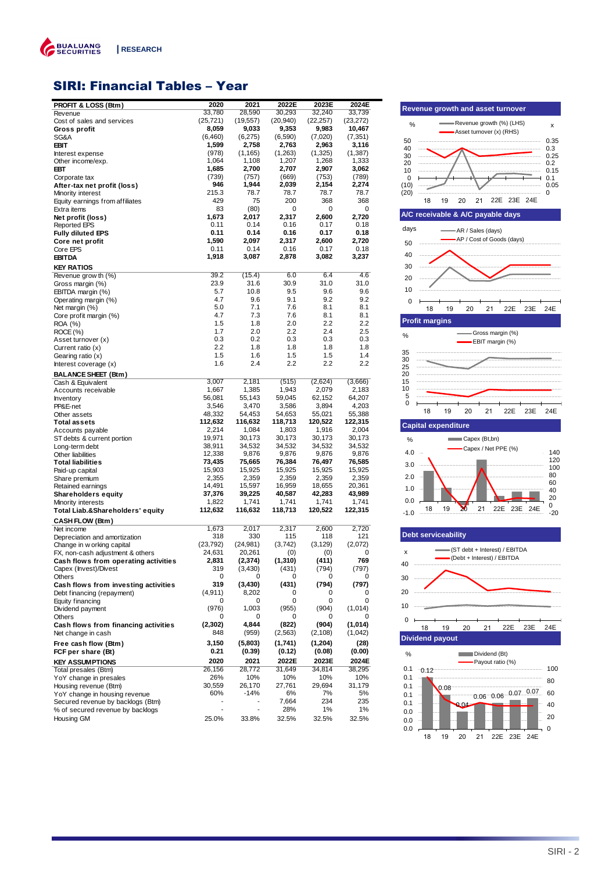

# SIRI: Financial Tables – Year

| <b>PROFIT &amp; LOSS (Btm)</b>              | 2020      | 2021                     | 2022E     | 2023E     | 2024E     |
|---------------------------------------------|-----------|--------------------------|-----------|-----------|-----------|
| Revenue                                     | 33,780    | 28,590                   | 30,293    | 32,240    | 33,739    |
| Cost of sales and services                  | (25, 721) | (19, 557)                | (20, 940) | (22, 257) | (23, 272) |
| Gross profit                                | 8,059     | 9,033                    | 9,353     | 9,983     | 10,467    |
| SG&A                                        | (6, 460)  | (6,275)                  | (6,590)   | (7,020)   | (7, 351)  |
| <b>EBIT</b>                                 | 1,599     | 2,758                    | 2,763     | 2,963     | 3,116     |
| Interest expense                            | (978)     | (1, 165)                 | (1,263)   | (1,325)   | (1, 387)  |
| Other income/exp.                           | 1,064     | 1,108                    | 1,207     | 1,268     | 1,333     |
| EBT                                         | 1,685     | 2,700                    | 2,707     | 2,907     | 3,062     |
| Corporate tax                               | (739)     | (757)                    | (669)     | (753)     | (789)     |
| After-tax net profit (loss)                 | 946       | 1,944                    | 2,039     | 2,154     | 2,274     |
| Minority interest                           | 215.3     | 78.7                     | 78.7      | 78.7      | 78.7      |
| Equity earnings from affiliates             | 429       | 75                       | 200       | 368       | 368       |
| Extra items                                 | 83        | (80)                     | 0         | 0         | 0         |
| Net profit (loss)                           | 1,673     | 2,017                    | 2,317     | 2,600     | 2,720     |
| <b>Reported EPS</b>                         | 0.11      | 0.14                     | 0.16      | 0.17      | 0.18      |
| <b>Fully diluted EPS</b>                    | 0.11      | 0.14                     | 0.16      | 0.17      | 0.18      |
| Core net profit                             | 1,590     | 2,097                    | 2,317     | 2,600     | 2,720     |
| Core EPS                                    | 0.11      | 0.14                     | 0.16      | 0.17      | 0.18      |
| <b>EBITDA</b>                               | 1,918     | 3,087                    | 2,878     | 3,082     | 3,237     |
|                                             |           |                          |           |           |           |
| <b>KEY RATIOS</b>                           |           |                          |           |           |           |
| Revenue grow th (%)                         | 39.2      | (15.4)                   | 6.0       | 6.4       | 4.6       |
| Gross margin (%)                            | 23.9      | 31.6                     | 30.9      | 31.0      | 31.0      |
| EBITDA margin (%)                           | 5.7       | 10.8                     | 9.5       | 9.6       | 9.6       |
| Operating margin (%)                        | 4.7       | 9.6                      | 9.1       | 9.2       | 9.2       |
| Net margin (%)                              | 5.0       | 7.1                      | 7.6       | 8.1       | 8.1       |
| Core profit margin (%)                      | 4.7       | 7.3                      | 7.6       | 8.1       | 8.1       |
| ROA (%)                                     | 1.5       | 1.8                      | 2.0       | 2.2       | 2.2       |
| ROCE (%)                                    | 1.7       | 2.0                      | 2.2       | 2.4       | 2.5       |
| Asset turnover (x)                          | 0.3       | 0.2                      | 0.3       | 0.3       | 0.3       |
| Current ratio (x)                           | 2.2       | 1.8                      | 1.8       | 1.8       | 1.8       |
| Gearing ratio (x)                           | 1.5       | 1.6                      | 1.5       | 1.5       | 1.4       |
| Interest coverage (x)                       | 1.6       | 2.4                      | 2.2       | 2.2       | 2.2       |
|                                             |           |                          |           |           |           |
| <b>BALANCE SHEET (Btm)</b>                  |           |                          |           |           |           |
| Cash & Equivalent                           | 3,007     | 2,181                    | (515)     | (2,624)   | (3,666)   |
| Accounts receivable                         | 1,667     | 1,385                    | 1,943     | 2,079     | 2,183     |
| Inventory                                   | 56,081    | 55,143                   | 59,045    | 62,152    | 64,207    |
| PP&E-net                                    | 3,546     | 3,470                    | 3,586     | 3,894     | 4,203     |
| Other assets                                | 48,332    | 54,453                   | 54,653    | 55,021    | 55,388    |
| Total assets                                | 112,632   | 116,632                  | 118,713   | 120,522   | 122,315   |
| Accounts payable                            | 2,214     | 1,084                    | 1,803     | 1,916     | 2,004     |
| ST debts & current portion                  | 19,971    | 30,173                   | 30,173    | 30,173    | 30,173    |
| Long-term debt                              | 38,911    | 34,532                   | 34,532    | 34,532    | 34,532    |
| Other liabilities                           | 12,338    | 9,876                    | 9,876     | 9,876     | 9,876     |
| <b>Total liabilities</b>                    | 73,435    | 75,665                   | 76,384    | 76,497    | 76,585    |
| Paid-up capital                             | 15,903    | 15,925                   | 15,925    | 15,925    | 15,925    |
| Share premium                               | 2,355     | 2,359                    | 2,359     | 2,359     | 2,359     |
| Retained earnings                           | 14,491    | 15,597                   | 16,959    | 18,655    | 20,361    |
| <b>Shareholders equity</b>                  | 37,376    | 39,225                   | 40,587    | 42,283    | 43,989    |
| Minority interests                          | 1,822     | 1,741                    | 1,741     | 1,741     | 1,741     |
| Total Liab.&Shareholders' equity            | 112,632   | 116,632                  | 118,713   | 120,522   | 122,315   |
|                                             |           |                          |           |           |           |
| <b>CASH FLOW (Btm)</b>                      |           |                          |           |           |           |
| Net income                                  | 1,673     | 2,017                    | 2,317     | 2,600     | 2,720     |
| Depreciation and amortization               | 318       | 330                      | 115       | 118       | 121       |
| Change in w orking capital                  | (23, 792) | (24, 981)                | (3,742)   | (3, 129)  | (2,072)   |
| FX, non-cash adjustment & others            | 24,631    | 20,261                   | (0)       | (0)       | 0         |
| <b>Cash flows from operating activities</b> | 2,831     | (2,374)                  | (1,310)   | (411)     | 769       |
| Capex (Invest)/Divest                       | 319       | (3,430)                  | (431)     | (794)     | (797)     |
| Others                                      | 0         | 0                        | 0         | 0         | 0         |
| Cash flows from investing activities        | 319       | (3, 430)                 | (431)     | (794)     | (797)     |
| Debt financing (repayment)                  | (4, 911)  | 8,202                    | 0         | 0         | 0         |
| Equity financing                            | 0         | 0                        | 0         | 0         | 0         |
| Dividend payment                            | (976)     | 1,003                    | (955)     | (904)     | (1,014)   |
| Others                                      | 0         | 0                        | 0         | 0         | 0         |
| Cash flows from financing activities        | (2, 302)  | 4,844                    | (822)     | (904)     | (1,014)   |
| Net change in cash                          | 848       | (959)                    | (2, 563)  | (2, 108)  | (1,042)   |
|                                             | 3,150     | (5,803)                  | (1,741)   | (1, 204)  | (28)      |
| Free cash flow (Btm)                        | 0.21      | (0.39)                   |           | (0.08)    | (0.00)    |
| FCF per share (Bt)                          |           |                          | (0.12)    |           |           |
| <b>KEY ASSUMPTIONS</b>                      | 2020      | 2021                     | 2022E     | 2023E     | 2024E     |
| Total presales (Btm)                        | 26,156    | 28,772                   | 31,649    | 34,814    | 38,295    |
| YoY change in presales                      | 26%       | 10%                      | 10%       | 10%       | 10%       |
| Housing revenue (Btm)                       | 30,559    | 26,170                   | 27,761    | 29,694    | 31,179    |
| YoY change in housing revenue               | 60%       | -14%                     | 6%        | 7%        | 5%        |
| Secured revenue by backlogs (Btm)           |           |                          | 7,664     | 234       | 235       |
| % of secured revenue by backlogs            |           | $\overline{\phantom{0}}$ | 28%       | 1%        | 1%        |
| Housing GM                                  | 25.0%     | 33.8%                    | 32.5%     | 32.5%     | 32.5%     |





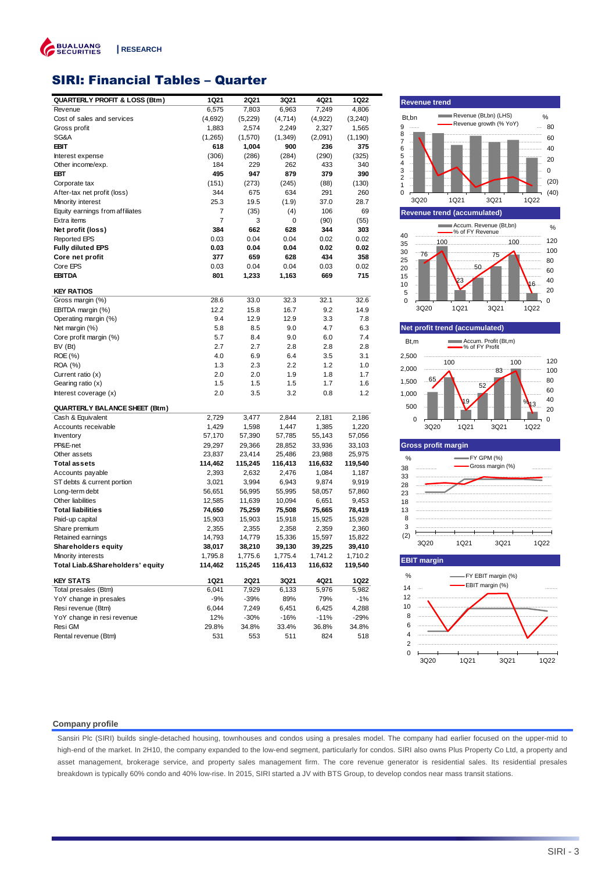

# SIRI: Financial Tables – Quarter

| <b>QUARTERLY PROFIT &amp; LOSS (Btm)</b> | 1Q21    | <b>2Q21</b> | 3Q21     | 4Q21    | 1Q22     |
|------------------------------------------|---------|-------------|----------|---------|----------|
| Revenue                                  | 6,575   | 7,803       | 6,963    | 7,249   | 4,806    |
| Cost of sales and services               | (4,692) | (5,229)     | (4,714)  | (4,922) | (3, 240) |
| Gross profit                             | 1,883   | 2,574       | 2,249    | 2,327   | 1,565    |
| SG&A                                     | (1,265) | (1,570)     | (1, 349) | (2,091) | (1, 190) |
| <b>EBIT</b>                              | 618     | 1,004       | 900      | 236     | 375      |
| Interest expense                         | (306)   | (286)       | (284)    | (290)   | (325)    |
| Other income/exp.                        | 184     | 229         | 262      | 433     | 340      |
| EBT                                      | 495     | 947         | 879      | 379     | 390      |
| Corporate tax                            | (151)   | (273)       | (245)    | (88)    | (130)    |
| After-tax net profit (loss)              | 344     | 675         | 634      | 291     | 260      |
| Minority interest                        | 25.3    | 19.5        | (1.9)    | 37.0    | 28.7     |
| Equity earnings from affiliates          | 7       | (35)        | (4)      | 106     | 69       |
| Extra items                              | 7       | 3           | 0        | (90)    | (55)     |
| Net profit (loss)                        | 384     | 662         | 628      | 344     | 303      |
| <b>Reported EPS</b>                      | 0.03    | 0.04        | 0.04     | 0.02    | 0.02     |
| Fully diluted EPS                        | 0.03    | 0.04        | 0.04     | 0.02    | 0.02     |
| Core net profit                          | 377     | 659         | 628      | 434     | 358      |
| Core EPS                                 | 0.03    | 0.04        | 0.04     | 0.03    | 0.02     |
| <b>EBITDA</b>                            | 801     | 1,233       | 1,163    | 669     | 715      |
|                                          |         |             |          |         |          |
| <b>KEY RATIOS</b>                        |         |             |          |         |          |
| Gross margin (%)                         | 28.6    | 33.0        | 32.3     | 32.1    | 32.6     |
| EBITDA margin (%)                        | 12.2    | 15.8        | 16.7     | 9.2     | 14.9     |
| Operating margin (%)                     | 9.4     | 12.9        | 12.9     | 3.3     | 7.8      |
| Net margin (%)                           | 5.8     | 8.5         | 9.0      | 4.7     | 6.3      |
| Core profit margin (%)                   | 5.7     | 8.4         | 9.0      | 6.0     | 7.4      |
| BV (Bt)                                  | 2.7     | 2.7         | 2.8      | 2.8     | 2.8      |
| ROE (%)                                  | 4.0     | 6.9         | 6.4      | 3.5     | 3.1      |
| ROA (%)                                  | 1.3     | 2.3         | 2.2      | 1.2     | 1.0      |
| Current ratio (x)                        | 2.0     | 2.0         | 1.9      | 1.8     | 1.7      |
| Gearing ratio (x)                        | 1.5     | 1.5         | 1.5      | 1.7     | 1.6      |
| Interest coverage (x)                    | 2.0     | 3.5         | 3.2      | 0.8     | 1.2      |
| QUARTERLY BALANCE SHEET (Btm)            |         |             |          |         |          |
| Cash & Equivalent                        | 2,729   | 3,477       | 2,844    | 2,181   | 2,186    |
| Accounts receivable                      | 1,429   | 1,598       | 1,447    | 1,385   | 1,220    |
| Inventory                                | 57,170  | 57,390      | 57,785   | 55,143  | 57,056   |
| PP&E-net                                 | 29,297  | 29,366      | 28,852   | 33,936  | 33,103   |
| Other assets                             | 23,837  | 23,414      | 25,486   | 23,988  | 25,975   |
| Total assets                             | 114,462 | 115,245     | 116,413  | 116,632 | 119,540  |
| Accounts payable                         | 2,393   | 2,632       | 2,476    | 1,084   | 1,187    |
| ST debts & current portion               | 3,021   | 3,994       | 6,943    | 9,874   | 9,919    |
| Long-term debt                           | 56,651  | 56,995      | 55,995   | 58,057  | 57,860   |
| Other liabilities                        | 12,585  | 11,639      | 10,094   | 6,651   | 9,453    |
| <b>Total liabilities</b>                 | 74,650  | 75,259      | 75,508   | 75,665  | 78,419   |
| Paid-up capital                          | 15,903  | 15,903      | 15,918   | 15,925  | 15,928   |
| Share premium                            | 2,355   | 2,355       | 2,358    | 2,359   | 2,360    |
| Retained earnings                        | 14,793  | 14,779      | 15,336   | 15,597  | 15,822   |
| <b>Shareholders equity</b>               | 38,017  | 38,210      | 39,130   | 39,225  | 39,410   |
| Minority interests                       | 1,795.8 | 1,775.6     | 1,775.4  | 1,741.2 | 1,710.2  |
| Total Liab.&Shareholders' equity         | 114,462 | 115,245     | 116,413  | 116,632 | 119,540  |
| <b>KEY STATS</b>                         | 1Q21    | <b>2Q21</b> | 3Q21     | 4Q21    | 1Q22     |
| Total presales (Btm)                     | 6,041   | 7,929       | 6,133    | 5,976   | 5,982    |
| YoY change in presales                   | -9%     | $-39%$      | 89%      | 79%     | $-1%$    |
| Resi revenue (Btm)                       | 6,044   | 7,249       | 6,451    | 6,425   | 4,288    |
| YoY change in resi revenue               | 12%     | $-30%$      | $-16%$   | $-11%$  | $-29%$   |
| Resi GM                                  | 29.8%   | 34.8%       | 33.4%    | 36.8%   | 34.8%    |
| Rental revenue (Btm)                     | 531     | 553         | 511      | 824     | 518      |
|                                          |         |             |          |         |          |



3Q20 1Q21 3Q21 1Q22

#### **Company profile**

Sansiri Plc (SIRI) builds single-detached housing, townhouses and condos using a presales model. The company had earlier focused on the upper-mid to high-end of the market. In 2H10, the company expanded to the low-end segment, particularly for condos. SIRI also owns Plus Property Co Ltd, a property and asset management, brokerage service, and property sales management firm. The core revenue generator is residential sales. Its residential presales breakdown is typically 60% condo and 40% low-rise. In 2015, SIRI started a JV with BTS Group, to develop condos near mass transit stations.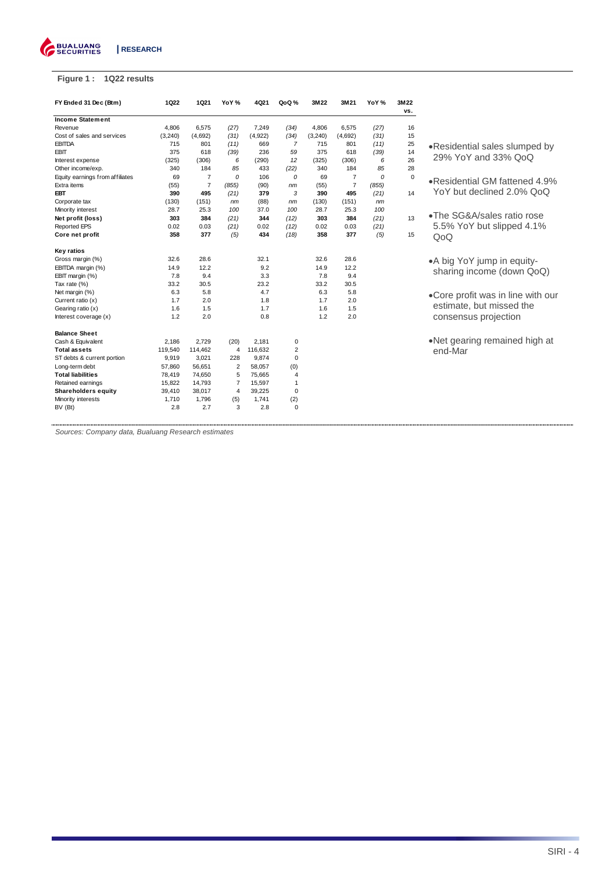

# **Figure 1 : 1Q22 results**

| FY Ended 31 Dec (Btm)           | 1022     | 1021           | YoY%           | 4Q21    | QoQ%           | 3M22     | 3M21           | YoY %    | 3M22<br>VS. |                                   |
|---------------------------------|----------|----------------|----------------|---------|----------------|----------|----------------|----------|-------------|-----------------------------------|
| <b>Income Statement</b>         |          |                |                |         |                |          |                |          |             |                                   |
| Revenue                         | 4,806    | 6,575          | (27)           | 7,249   | (34)           | 4,806    | 6,575          | (27)     | 16          |                                   |
| Cost of sales and services      | (3, 240) | (4,692)        | (31)           | (4,922) | (34)           | (3, 240) | (4,692)        | (31)     | 15          |                                   |
| <b>EBITDA</b>                   | 715      | 801            | (11)           | 669     | 7              | 715      | 801            | (11)     | 25          | •Residential sales slumped by     |
| <b>EBIT</b>                     | 375      | 618            | (39)           | 236     | 59             | 375      | 618            | (39)     | 14          |                                   |
| Interest expense                | (325)    | (306)          | 6              | (290)   | 12             | (325)    | (306)          | 6        | 26          | 29% YoY and 33% QoQ               |
| Other income/exp.               | 340      | 184            | 85             | 433     | (22)           | 340      | 184            | 85       | 28          |                                   |
| Equity earnings from affiliates | 69       | $\overline{7}$ | 0              | 106     | 0              | 69       | $\overline{7}$ | $\Omega$ | $\mathbf 0$ | .Residential GM fattened 4.9%     |
| Extra items                     | (55)     | $\overline{7}$ | (855)          | (90)    | nm             | (55)     | $\overline{7}$ | (855)    |             |                                   |
| EBT                             | 390      | 495            | (21)           | 379     | 3              | 390      | 495            | (21)     | 14          | YoY but declined 2.0% QoQ         |
| Corporate tax                   | (130)    | (151)          | nm             | (88)    | nm             | (130)    | (151)          | nm       |             |                                   |
| Minority interest               | 28.7     | 25.3           | 100            | 37.0    | 100            | 28.7     | 25.3           | 100      |             |                                   |
| Net profit (loss)               | 303      | 384            | (21)           | 344     | (12)           | 303      | 384            | (21)     | 13          | •The SG&A/sales ratio rose        |
| <b>Reported EPS</b>             | 0.02     | 0.03           | (21)           | 0.02    | (12)           | 0.02     | 0.03           | (21)     |             | 5.5% YoY but slipped 4.1%         |
| Core net profit                 | 358      | 377            | (5)            | 434     | (18)           | 358      | 377            | (5)      | 15          | QoQ                               |
| Key ratios                      |          |                |                |         |                |          |                |          |             |                                   |
| Gross margin (%)                | 32.6     | 28.6           |                | 32.1    |                | 32.6     | 28.6           |          |             | • A big YoY jump in equity-       |
| EBITDA margin (%)               | 14.9     | 12.2           |                | 9.2     |                | 14.9     | 12.2           |          |             | sharing income (down QoQ)         |
| EBIT margin (%)                 | 7.8      | 9.4            |                | 3.3     |                | 7.8      | 9.4            |          |             |                                   |
| Tax rate (%)                    | 33.2     | 30.5           |                | 23.2    |                | 33.2     | 30.5           |          |             |                                   |
| Net margin (%)                  | 6.3      | 5.8            |                | 4.7     |                | 6.3      | 5.8            |          |             | •Core profit was in line with our |
| Current ratio (x)               | 1.7      | 2.0            |                | 1.8     |                | 1.7      | 2.0            |          |             |                                   |
| Gearing ratio (x)               | 1.6      | 1.5            |                | 1.7     |                | 1.6      | 1.5            |          |             | estimate, but missed the          |
| Interest coverage (x)           | 1.2      | 2.0            |                | 0.8     |                | 1.2      | 2.0            |          |             | consensus projection              |
| <b>Balance Sheet</b>            |          |                |                |         |                |          |                |          |             |                                   |
| Cash & Equivalent               | 2,186    | 2.729          | (20)           | 2.181   | 0              |          |                |          |             | •Net gearing remained high at     |
| <b>Total assets</b>             | 119,540  | 114,462        | 4              | 116,632 | $\overline{2}$ |          |                |          |             | end-Mar                           |
| ST debts & current portion      | 9,919    | 3,021          | 228            | 9,874   | 0              |          |                |          |             |                                   |
| Long-term debt                  | 57,860   | 56,651         | $\overline{2}$ | 58,057  | (0)            |          |                |          |             |                                   |
| <b>Total liabilities</b>        | 78,419   | 74,650         | 5              | 75,665  | $\overline{4}$ |          |                |          |             |                                   |
| Retained earnings               | 15,822   | 14,793         | $\overline{7}$ | 15,597  | $\mathbf{1}$   |          |                |          |             |                                   |
| <b>Shareholders equity</b>      | 39,410   | 38,017         | $\overline{4}$ | 39,225  | $\mathbf 0$    |          |                |          |             |                                   |
| Minority interests              | 1,710    | 1,796          | (5)            | 1,741   | (2)            |          |                |          |             |                                   |
| BV (Bt)                         | 2.8      | 2.7            | 3              | 2.8     | 0              |          |                |          |             |                                   |

................ Sources: Company data, Bualuang Research estimates

..............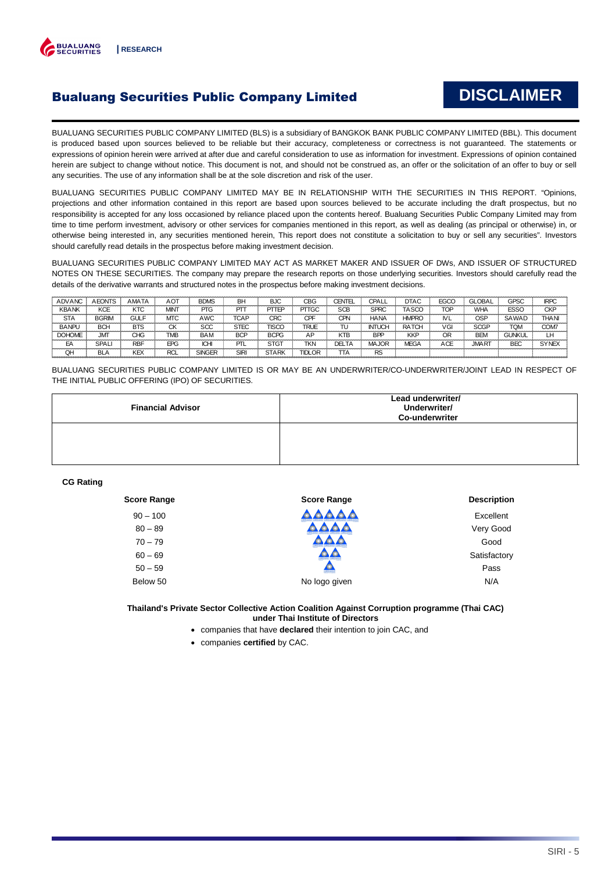

# Bualuang Securities Public Company Limited

# **DISCLAIMER**

BUALUANG SECURITIES PUBLIC COMPANY LIMITED (BLS) is a subsidiary of BANGKOK BANK PUBLIC COMPANY LIMITED (BBL). This document is produced based upon sources believed to be reliable but their accuracy, completeness or correctness is not guaranteed. The statements or expressions of opinion herein were arrived at after due and careful consideration to use as information for investment. Expressions of opinion contained herein are subject to change without notice. This document is not, and should not be construed as, an offer or the solicitation of an offer to buy or sell any securities. The use of any information shall be at the sole discretion and risk of the user.

BUALUANG SECURITIES PUBLIC COMPANY LIMITED MAY BE IN RELATIONSHIP WITH THE SECURITIES IN THIS REPORT. "Opinions, projections and other information contained in this report are based upon sources believed to be accurate including the draft prospectus, but no responsibility is accepted for any loss occasioned by reliance placed upon the contents hereof. Bualuang Securities Public Company Limited may from time to time perform investment, advisory or other services for companies mentioned in this report, as well as dealing (as principal or otherwise) in, or otherwise being interested in, any securities mentioned herein, This report does not constitute a solicitation to buy or sell any securities". Investors should carefully read details in the prospectus before making investment decision.

BUALUANG SECURITIES PUBLIC COMPANY LIMITED MAY ACT AS MARKET MAKER AND ISSUER OF DWs, AND ISSUER OF STRUCTURED NOTES ON THESE SECURITIES. The company may prepare the research reports on those underlying securities. Investors should carefully read the details of the derivative warrants and structured notes in the prospectus before making investment decisions.

| <b>ADVANC</b> | <b>AEONTS</b> | AMATA       | АОТ        | <b>BDMS</b>   | BH          | <b>BJC</b>   | CBG           | <b>CENTEL</b> | CPALL         | <b>DTAC</b>  | <b>EGCO</b> | <b>GLOBAL</b> | <b>GPSC</b>   | <b>IRPC</b> |
|---------------|---------------|-------------|------------|---------------|-------------|--------------|---------------|---------------|---------------|--------------|-------------|---------------|---------------|-------------|
| <b>KBANK</b>  | KCE           | KTC         | MINT       | PTG           | PΠ          | PTTEP        | <b>PTTGC</b>  | SCB           | <b>SPRC</b>   | <b>TASCC</b> | <b>TOP</b>  | <b>WHA</b>    | <b>ESSO</b>   | <b>CKP</b>  |
| <b>STA</b>    | <b>BGRIM</b>  | <b>GULF</b> | MTC        | AWC           | <b>TCAF</b> | CRC          | CPF           | CPN           | <b>HANA</b>   | <b>HMPRC</b> | ΜL          | OSP           | SAWAD         | <b>THAN</b> |
| <b>BANPU</b>  | <b>BCH</b>    | <b>BTS</b>  | СK         | SCC           | <b>STEC</b> | <b>TISCO</b> | <b>TRUE</b>   | TU            | <b>INTUCH</b> | <b>RATCH</b> | VGI         | <b>SCGP</b>   | <b>TQM</b>    | COM7        |
| <b>DOHOME</b> | <b>JMT</b>    | CHG         | TMB        | <b>BAM</b>    | <b>BCP</b>  | <b>BCPG</b>  | AP            | KTB           | <b>BPP</b>    | <b>KKP</b>   | ОR          | <b>BEM</b>    | <b>GUNKUL</b> | LΗ          |
| EA            | SPALI         | <b>RBF</b>  | EPG        | IСH           | PTL         | <b>STGT</b>  | <b>TKN</b>    | <b>DELTA</b>  | <b>MAJOR</b>  | <b>MEGA</b>  | ACE         | <b>JMART</b>  | <b>BEC</b>    | <b>SYNE</b> |
| QH            | BLA           | ΚEΧ         | <b>RCL</b> | <b>SINGER</b> | <b>SIRI</b> | <b>STARK</b> | <b>TIDLOR</b> | ΠA            | <b>RS</b>     |              |             |               |               |             |

BUALUANG SECURITIES PUBLIC COMPANY LIMITED IS OR MAY BE AN UNDERWRITER/CO-UNDERWRITER/JOINT LEAD IN RESPECT OF THE INITIAL PUBLIC OFFERING (IPO) OF SECURITIES.

| <b>Financial Advisor</b> | Lead underwriter/<br>Underwriter/<br><b>Co-underwriter</b> |
|--------------------------|------------------------------------------------------------|
|                          |                                                            |

### **CG Rating**

| <b>Score Range</b> | <b>Description</b> |
|--------------------|--------------------|
| <b>AAAA</b>        | Excellent          |
|                    | Very Good          |
|                    | Good               |
|                    | Satisfactory       |
| $\circ$            | Pass               |
| No logo given      | N/A                |
|                    |                    |

**Thailand's Private Sector Collective Action Coalition Against Corruption programme (Thai CAC) under Thai Institute of Directors** 

- companies that have **declared** their intention to join CAC, and
- companies **certified** by CAC.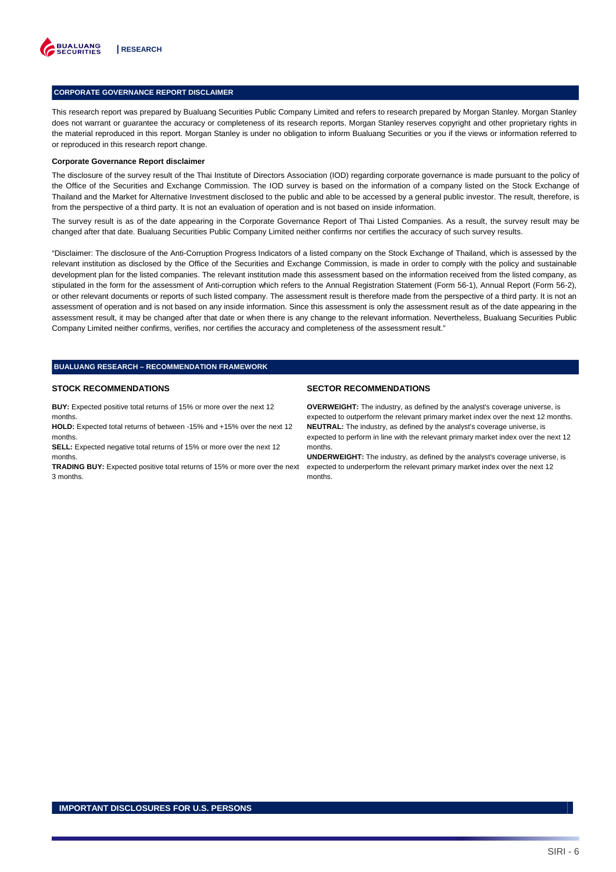

#### **CORPORATE GOVERNANCE REPORT DISCLAIMER**

This research report was prepared by Bualuang Securities Public Company Limited and refers to research prepared by Morgan Stanley. Morgan Stanley does not warrant or guarantee the accuracy or completeness of its research reports. Morgan Stanley reserves copyright and other proprietary rights in the material reproduced in this report. Morgan Stanley is under no obligation to inform Bualuang Securities or you if the views or information referred to or reproduced in this research report change.

#### **Corporate Governance Report disclaimer**

The disclosure of the survey result of the Thai Institute of Directors Association (IOD) regarding corporate governance is made pursuant to the policy of the Office of the Securities and Exchange Commission. The IOD survey is based on the information of a company listed on the Stock Exchange of Thailand and the Market for Alternative Investment disclosed to the public and able to be accessed by a general public investor. The result, therefore, is from the perspective of a third party. It is not an evaluation of operation and is not based on inside information.

The survey result is as of the date appearing in the Corporate Governance Report of Thai Listed Companies. As a result, the survey result may be changed after that date. Bualuang Securities Public Company Limited neither confirms nor certifies the accuracy of such survey results.

"Disclaimer: The disclosure of the Anti-Corruption Progress Indicators of a listed company on the Stock Exchange of Thailand, which is assessed by the relevant institution as disclosed by the Office of the Securities and Exchange Commission, is made in order to comply with the policy and sustainable development plan for the listed companies. The relevant institution made this assessment based on the information received from the listed company, as stipulated in the form for the assessment of Anti-corruption which refers to the Annual Registration Statement (Form 56-1), Annual Report (Form 56-2), or other relevant documents or reports of such listed company. The assessment result is therefore made from the perspective of a third party. It is not an assessment of operation and is not based on any inside information. Since this assessment is only the assessment result as of the date appearing in the assessment result, it may be changed after that date or when there is any change to the relevant information. Nevertheless, Bualuang Securities Public Company Limited neither confirms, verifies, nor certifies the accuracy and completeness of the assessment result."

## **BUALUANG RESEARCH – RECOMMENDATION FRAMEWORK**

#### **STOCK RECOMMENDATIONS**

**BUY:** Expected positive total returns of 15% or more over the next 12 months.

**HOLD:** Expected total returns of between -15% and +15% over the next 12 months.

**SELL:** Expected negative total returns of 15% or more over the next 12 months.

**TRADING BUY:** Expected positive total returns of 15% or more over the next 3 months.

#### **SECTOR RECOMMENDATIONS**

**OVERWEIGHT:** The industry, as defined by the analyst's coverage universe, is expected to outperform the relevant primary market index over the next 12 months. **NEUTRAL:** The industry, as defined by the analyst's coverage universe, is expected to perform in line with the relevant primary market index over the next 12 months.

**UNDERWEIGHT:** The industry, as defined by the analyst's coverage universe, is expected to underperform the relevant primary market index over the next 12 months.